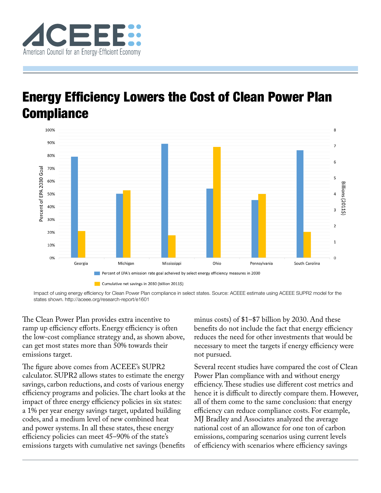

## Energy Efficiency Lowers the Cost of Clean Power Plan **Compliance**



Impact of using energy efficiency for Clean Power Plan compliance in select states. Source: ACEEE estimate using ACEEE SUPR2 model for the states shown.<http://aceee.org/research-report/e1601>

The Clean Power Plan provides extra incentive to ramp up efficiency efforts. Energy efficiency is often the low-cost compliance strategy and, as shown above, can get most states more than 50% towards their emissions target.

The figure above comes from ACEEE's SUPR2 calculator. SUPR2 allows states to estimate the energy savings, carbon reductions, and costs of various energy efficiency programs and policies. The chart looks at the impact of three energy efficiency policies in six states: a 1% per year energy savings target, updated building codes, and a medium level of new combined heat and power systems. In all these states, these energy efficiency policies can meet 45–90% of the state's emissions targets with cumulative net savings (benefits

minus costs) of \$1–\$7 billion by 2030. And these benefits do not include the fact that energy efficiency reduces the need for other investments that would be necessary to meet the targets if energy efficiency were not pursued.

Several recent studies have compared the cost of Clean Power Plan compliance with and without energy efficiency. These studies use different cost metrics and hence it is difficult to directly compare them. However, all of them come to the same conclusion: that energy efficiency can reduce compliance costs. For example, MJ Bradley and Associates analyzed the average national cost of an allowance for one ton of carbon emissions, comparing scenarios using current levels of efficiency with scenarios where efficiency savings